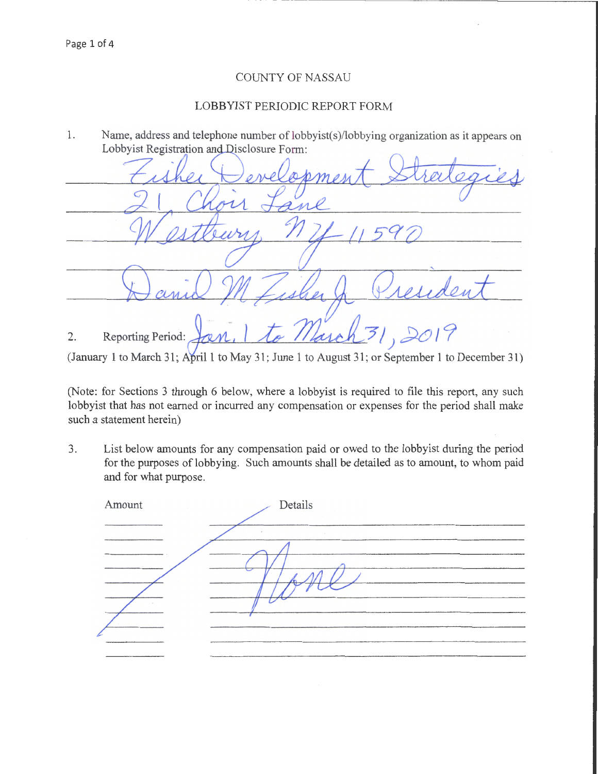## COUNTY OF NASSAU

## LOBBYIST PERIODIC REPORT FORM

1. Name, address and telephone number of lobbyist(s)/lobbying organization as it appears on Lobbyist Registration and Disclosure Form:

| I melasment                            |
|----------------------------------------|
| $\overline{a}$                         |
| $-00$                                  |
|                                        |
| $MZ_i _{\mathcal{U}}$<br>$\mathcal{L}$ |
| 231,2019<br>Reporting Period: Jan. 11  |

(January 1 to March 31; April 1 to May 31; June 1 to August 31; or September 1 to December 31)

(Note: for Sections 3 through 6 below, where a lobbyist is required to file this report, any such lobbyist that has not earned or incurred any compensation or expenses for the period shall make such a statement herein)

3. List below amounts for any compensation paid or owed to the lobbyist during the period for the purposes of lobbying. Such amounts shall be detailed as to amount, to whom paid and for what purpose.

| Amount | Details |  |
|--------|---------|--|
|        |         |  |
|        |         |  |
|        |         |  |
|        |         |  |
|        |         |  |
|        |         |  |
|        |         |  |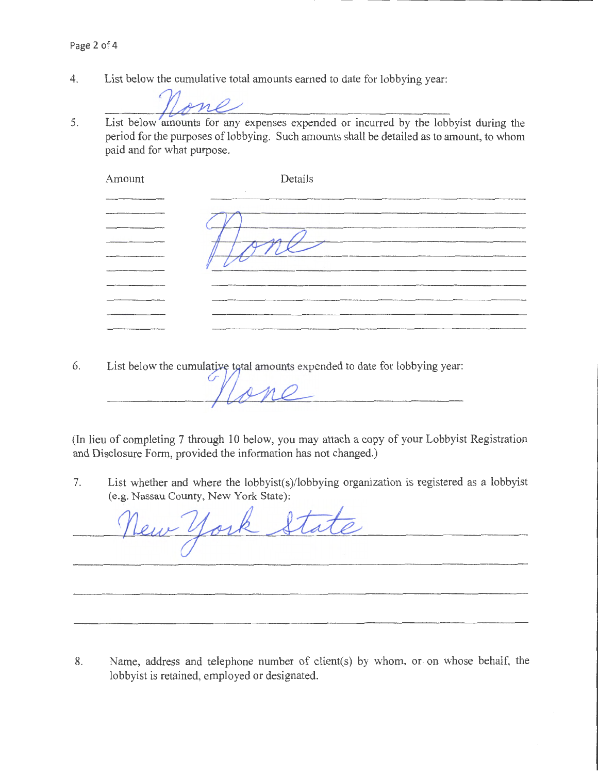List below the cumulative total amounts earned to date for lobbying year: 4.

List below amounts for any expenses expended or incurred by the lobbyist during the 5. period for the purposes of lobbying. Such amounts shall be detailed as to amount, to whom paid and for what purpose.

| Amount | Details |         |
|--------|---------|---------|
|        |         |         |
|        |         | $\cdot$ |
|        |         |         |
|        |         |         |
|        |         |         |
|        |         |         |
|        |         |         |

6. List below the cumulative total amounts expended to date for lobbying year:

 $\circ$ 

(In lieu of completing 7 through 10 below, you may attach a copy of your Lobbyist Registration and Disclosure Form, provided the information has not changed.)

7. List whether and where the lobbyist(s)/lobbying organization is registered as a lobbyist (e.g. Nassau County, New York State):

ork State

8. Name, address and telephone number of client(s) by whom, or on whose behalf, the lobbyist is retained, employed or designated.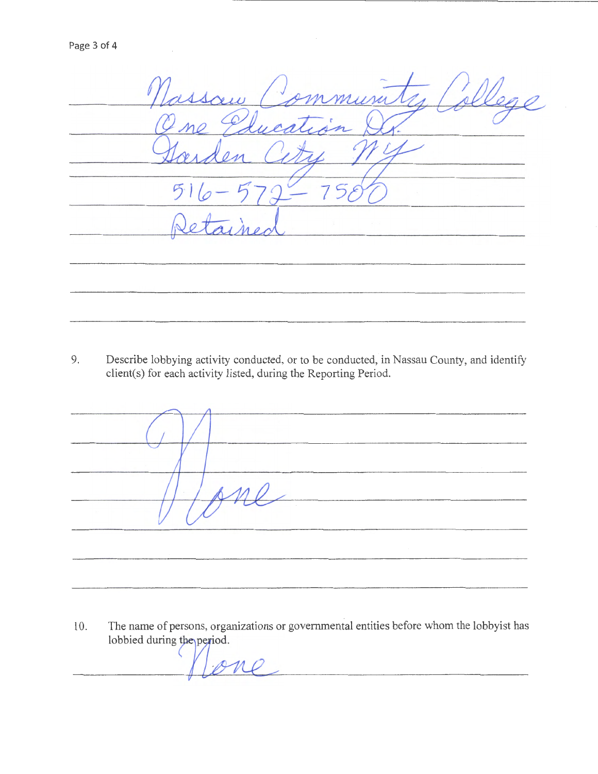| issom Pennington                |
|---------------------------------|
| no Plugation C                  |
|                                 |
| $516 - 579 -$                   |
| $\overline{a}$ , $\overline{a}$ |
|                                 |
|                                 |

9. Describe lobbying activity conducted, or to be conducted, in Nassau County, and identify client(s) for each activity listed, during the Reporting Period.

| The Contractor | $\overline{\mathcal{L}}$ |  |
|----------------|--------------------------|--|
|                |                          |  |

10. The name of persons, organizations or governmental entities before whom the lobbyist has The name of persons, organizations or go<br>lobbied during the period.